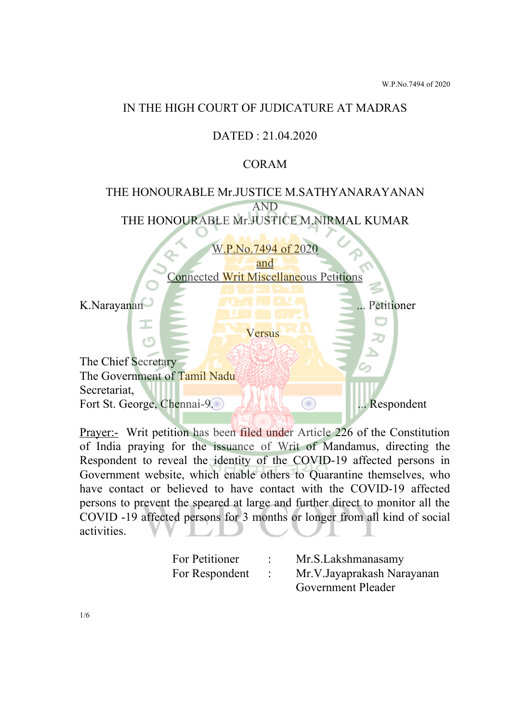### IN THE HIGH COURT OF JUDICATURE AT MADRAS

## DATED : 21.04.2020

### CORAM

# THE HONOURABLE Mr.JUSTICE M.SATHYANARAYANAN AND THE HONOURABLE Mr.JUSTICE M.NIRMAL KUMAR

W.P.No.7494 of 2020 and Connected Writ Miscellaneous Petitions K.Narayanan **... Petitioner** ... Petitioner Ι Versus c٢ The Chief Secretary The Government of Tamil Nadu Secretariat, Fort St. George, Chennai-9. ... Respondent

Prayer:- Writ petition has been filed under Article 226 of the Constitution of India praying for the issuance of Writ of Mandamus, directing the Respondent to reveal the identity of the COVID-19 affected persons in Government website, which enable others to Quarantine themselves, who have contact or believed to have contact with the COVID-19 affected persons to prevent the speared at large and further direct to monitor all the COVID -19 affected persons for 3 months or longer from all kind of social activities.

| For Petitioner | Mr.S.Lakshmanasamy         |
|----------------|----------------------------|
| For Respondent | Mr.V.Jayaprakash Narayanan |
|                | Government Pleader         |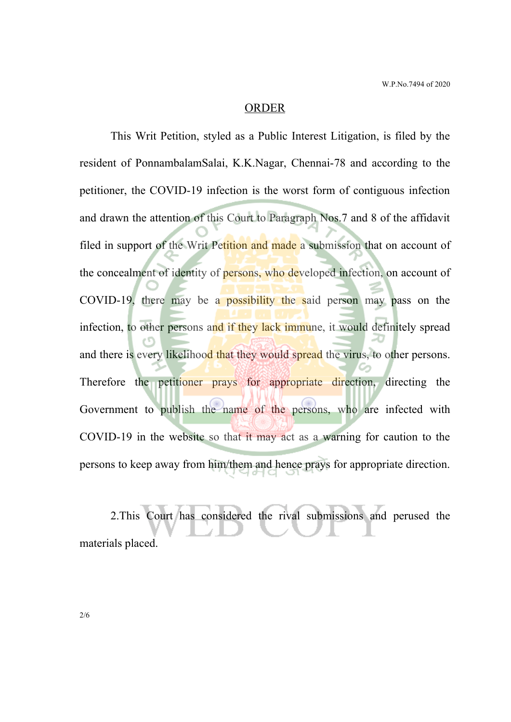#### ORDER

This Writ Petition, styled as a Public Interest Litigation, is filed by the resident of PonnambalamSalai, K.K.Nagar, Chennai-78 and according to the petitioner, the COVID-19 infection is the worst form of contiguous infection and drawn the attention of this Court to Paragraph Nos.7 and 8 of the affidavit filed in support of the Writ Petition and made a submission that on account of the concealment of identity of persons, who developed infection, on account of COVID-19, there may be a possibility the said person may pass on the infection, to other persons and if they lack immune, it would definitely spread and there is every likelihood that they would spread the virus, to other persons. Therefore the petitioner prays for appropriate direction, directing the Government to publish the name of the persons, who are infected with COVID-19 in the website so that it may act as a warning for caution to the persons to keep away from him/them and hence prays for appropriate direction.

2.This Court has considered the rival submissions and perused the materials placed.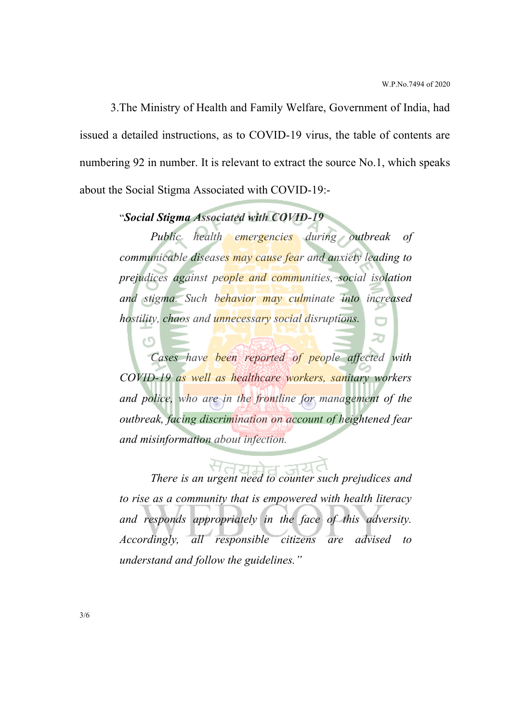20

3.The Ministry of Health and Family Welfare, Government of India, had issued a detailed instructions, as to COVID-19 virus, the table of contents are numbering 92 in number. It is relevant to extract the source No.1, which speaks about the Social Stigma Associated with COVID-19:-

# "*Social Stigma Associated with COVID-19*

*Public health emergencies during outbreak of communicable diseases may cause fear and anxiety leading to prejudices against people and communities, social isolation and stigma. Such behavior may culminate into increased hostility, chaos and unnecessary social disruptions.*

*Cases have been reported of people affected with COVID-19 as well as healthcare workers, sanitary workers and police, who are in the frontline for management of the outbreak, facing discrimination on account of heightened fear and misinformation about infection.*

*There is an urgent need to counter such prejudices and to rise as a community that is empowered with health literacy and responds appropriately in the face of this adversity. Accordingly, all responsible citizens are advised to understand and follow the guidelines."*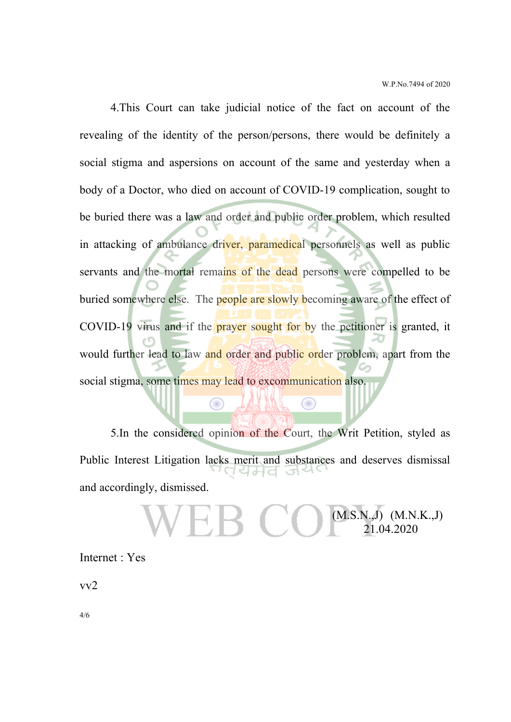(M.S.N.,J) (M.N.K.,J) 21.04.2020

4.This Court can take judicial notice of the fact on account of the revealing of the identity of the person/persons, there would be definitely a social stigma and aspersions on account of the same and yesterday when a body of a Doctor, who died on account of COVID-19 complication, sought to be buried there was a law and order and public order problem, which resulted in attacking of ambulance driver, paramedical personnels as well as public servants and the mortal remains of the dead persons were compelled to be buried somewhere else. The people are slowly becoming aware of the effect of COVID-19 virus and if the prayer sought for by the petitioner is granted, it would further lead to law and order and public order problem, apart from the social stigma, some times may lead to excommunication also.

5.In the considered opinion of the Court, the Writ Petition, styled as Public Interest Litigation lacks merit and substances and deserves dismissal 44d and accordingly, dismissed.

Œ

Œ

Internet : Yes

vv2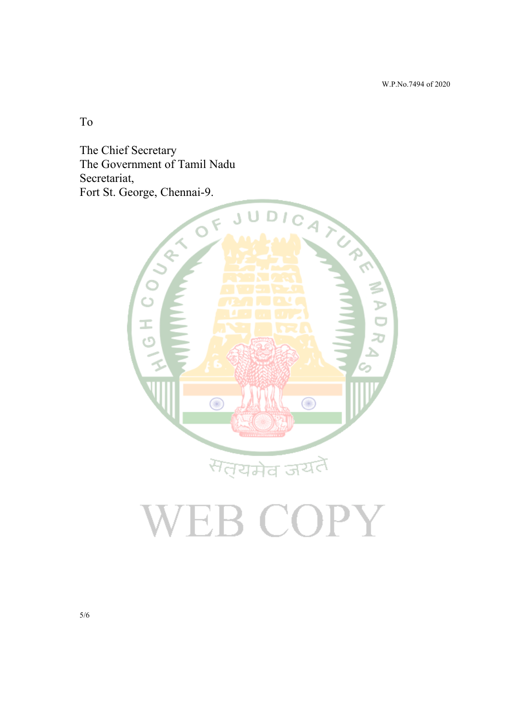W.P.No.7494 of 2020

To

The Chief Secretary The Government of Tamil Nadu Secretariat,



# **VEB COPY**